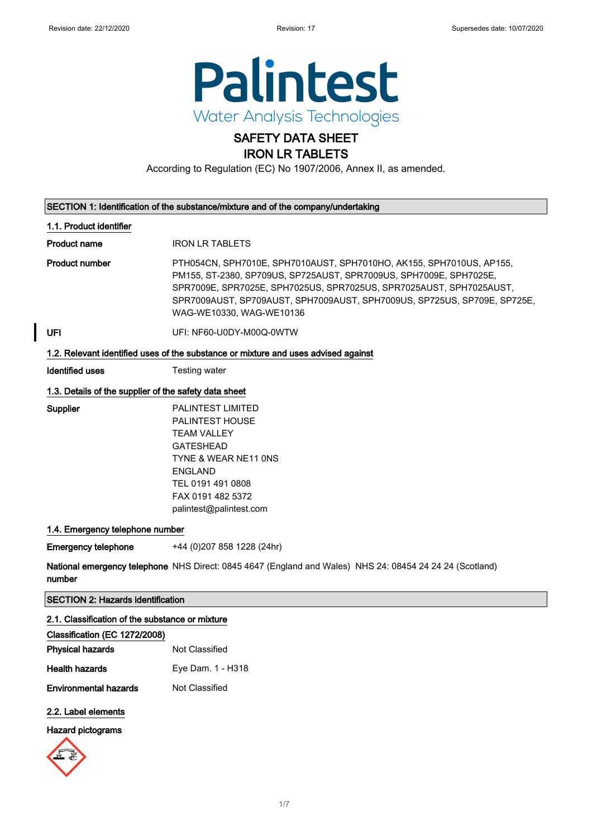

### SAFETY DATA SHEET IRON LR TABLETS

According to Regulation (EC) No 1907/2006, Annex II, as amended.

|                                                       | SECTION 1: Identification of the substance/mixture and of the company/undertaking                                                                                                                                                                                                                                         |
|-------------------------------------------------------|---------------------------------------------------------------------------------------------------------------------------------------------------------------------------------------------------------------------------------------------------------------------------------------------------------------------------|
| 1.1. Product identifier                               |                                                                                                                                                                                                                                                                                                                           |
| <b>Product name</b>                                   | <b>IRON LR TABLETS</b>                                                                                                                                                                                                                                                                                                    |
| <b>Product number</b>                                 | PTH054CN, SPH7010E, SPH7010AUST, SPH7010HO, AK155, SPH7010US, AP155,<br>PM155, ST-2380, SP709US, SP725AUST, SPR7009US, SPH7009E, SPH7025E,<br>SPR7009E, SPR7025E, SPH7025US, SPR7025US, SPR7025AUST, SPH7025AUST,<br>SPR7009AUST, SP709AUST, SPH7009AUST, SPH7009US, SP725US, SP709E, SP725E,<br>WAG-WE10330, WAG-WE10136 |
| UFI                                                   | UFI: NF60-U0DY-M00Q-0WTW                                                                                                                                                                                                                                                                                                  |
|                                                       | 1.2. Relevant identified uses of the substance or mixture and uses advised against                                                                                                                                                                                                                                        |
| <b>Identified uses</b>                                | Testing water                                                                                                                                                                                                                                                                                                             |
| 1.3. Details of the supplier of the safety data sheet |                                                                                                                                                                                                                                                                                                                           |
| Supplier                                              | <b>PALINTEST LIMITED</b><br><b>PALINTEST HOUSE</b><br><b>TEAM VALLEY</b><br><b>GATESHEAD</b><br>TYNE & WEAR NE11 ONS<br><b>ENGLAND</b><br>TEL 0191 491 0808<br>FAX 0191 482 5372<br>palintest@palintest.com                                                                                                               |
| 1.4. Emergency telephone number                       |                                                                                                                                                                                                                                                                                                                           |
| <b>Emergency telephone</b>                            | +44 (0)207 858 1228 (24hr)                                                                                                                                                                                                                                                                                                |
| number                                                | National emergency telephone NHS Direct: 0845 4647 (England and Wales) NHS 24: 08454 24 24 24 (Scotland)                                                                                                                                                                                                                  |
| <b>SECTION 2: Hazards identification</b>              |                                                                                                                                                                                                                                                                                                                           |
| 2.1. Classification of the substance or mixture       |                                                                                                                                                                                                                                                                                                                           |
| Classification (EC 1272/2008)                         |                                                                                                                                                                                                                                                                                                                           |
| <b>Physical hazards</b>                               | Not Classified                                                                                                                                                                                                                                                                                                            |
| <b>Health hazards</b>                                 | Eye Dam. 1 - H318                                                                                                                                                                                                                                                                                                         |

Environmental hazards Not Classified

### 2.2. Label elements

#### Hazard pictograms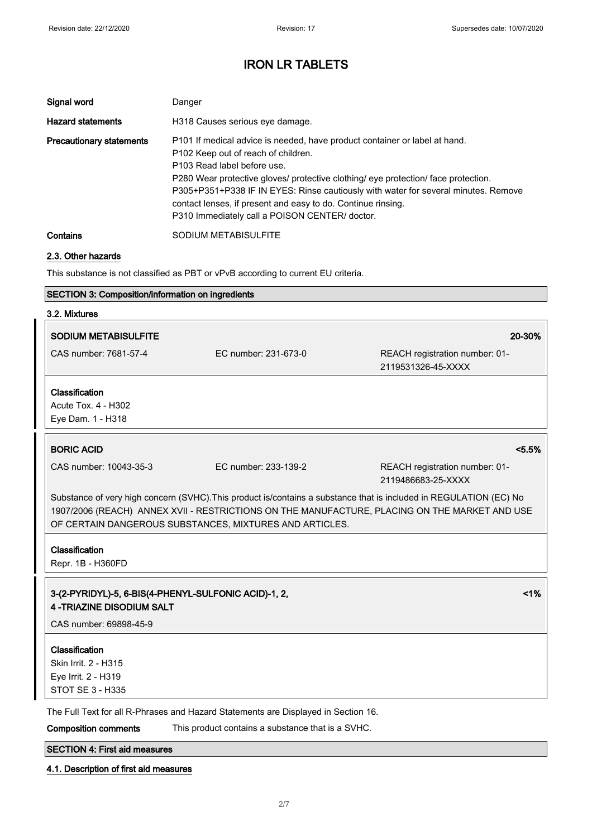| Signal word                     | Danger                                                                                                                                                                                                                                                                                                                                                                                                                                         |
|---------------------------------|------------------------------------------------------------------------------------------------------------------------------------------------------------------------------------------------------------------------------------------------------------------------------------------------------------------------------------------------------------------------------------------------------------------------------------------------|
| <b>Hazard statements</b>        | H318 Causes serious eye damage.                                                                                                                                                                                                                                                                                                                                                                                                                |
| <b>Precautionary statements</b> | P101 If medical advice is needed, have product container or label at hand.<br>P102 Keep out of reach of children.<br>P103 Read label before use.<br>P280 Wear protective gloves/ protective clothing/ eye protection/ face protection.<br>P305+P351+P338 IF IN EYES: Rinse cautiously with water for several minutes. Remove<br>contact lenses, if present and easy to do. Continue rinsing.<br>P310 Immediately call a POISON CENTER/ doctor. |
| Contains                        | SODIUM METABISULFITE                                                                                                                                                                                                                                                                                                                                                                                                                           |

#### 2.3. Other hazards

This substance is not classified as PBT or vPvB according to current EU criteria.

### SECTION 3: Composition/information on ingredients

| 3.2. Mixtures                                                                                                                                                                                                                                                                  |                                                   |                                                      |
|--------------------------------------------------------------------------------------------------------------------------------------------------------------------------------------------------------------------------------------------------------------------------------|---------------------------------------------------|------------------------------------------------------|
| <b>SODIUM METABISULFITE</b>                                                                                                                                                                                                                                                    |                                                   | 20-30%                                               |
| CAS number: 7681-57-4                                                                                                                                                                                                                                                          | EC number: 231-673-0                              | REACH registration number: 01-<br>2119531326-45-XXXX |
| Classification                                                                                                                                                                                                                                                                 |                                                   |                                                      |
| Acute Tox. 4 - H302                                                                                                                                                                                                                                                            |                                                   |                                                      |
| Eye Dam. 1 - H318                                                                                                                                                                                                                                                              |                                                   |                                                      |
| <b>BORIC ACID</b>                                                                                                                                                                                                                                                              |                                                   | < 5.5%                                               |
| CAS number: 10043-35-3                                                                                                                                                                                                                                                         | EC number: 233-139-2                              | REACH registration number: 01-<br>2119486683-25-XXXX |
| Substance of very high concern (SVHC). This product is/contains a substance that is included in REGULATION (EC) No<br>1907/2006 (REACH) ANNEX XVII - RESTRICTIONS ON THE MANUFACTURE, PLACING ON THE MARKET AND USE<br>OF CERTAIN DANGEROUS SUBSTANCES, MIXTURES AND ARTICLES. |                                                   |                                                      |
| Classification                                                                                                                                                                                                                                                                 |                                                   |                                                      |
| Repr. 1B - H360FD                                                                                                                                                                                                                                                              |                                                   |                                                      |
| 3-(2-PYRIDYL)-5, 6-BIS(4-PHENYL-SULFONIC ACID)-1, 2,<br><b>4-TRIAZINE DISODIUM SALT</b>                                                                                                                                                                                        |                                                   | 1%                                                   |
| CAS number: 69898-45-9                                                                                                                                                                                                                                                         |                                                   |                                                      |
|                                                                                                                                                                                                                                                                                |                                                   |                                                      |
| Classification<br>Skin Irrit. 2 - H315                                                                                                                                                                                                                                         |                                                   |                                                      |
| Eye Irrit. 2 - H319                                                                                                                                                                                                                                                            |                                                   |                                                      |
| <b>STOT SE 3 - H335</b>                                                                                                                                                                                                                                                        |                                                   |                                                      |
| The Full Text for all R-Phrases and Hazard Statements are Displayed in Section 16.                                                                                                                                                                                             |                                                   |                                                      |
| <b>Composition comments</b>                                                                                                                                                                                                                                                    | This product contains a substance that is a SVHC. |                                                      |
| <b>SECTION 4: First aid measures</b>                                                                                                                                                                                                                                           |                                                   |                                                      |

### 4.1. Description of first aid measures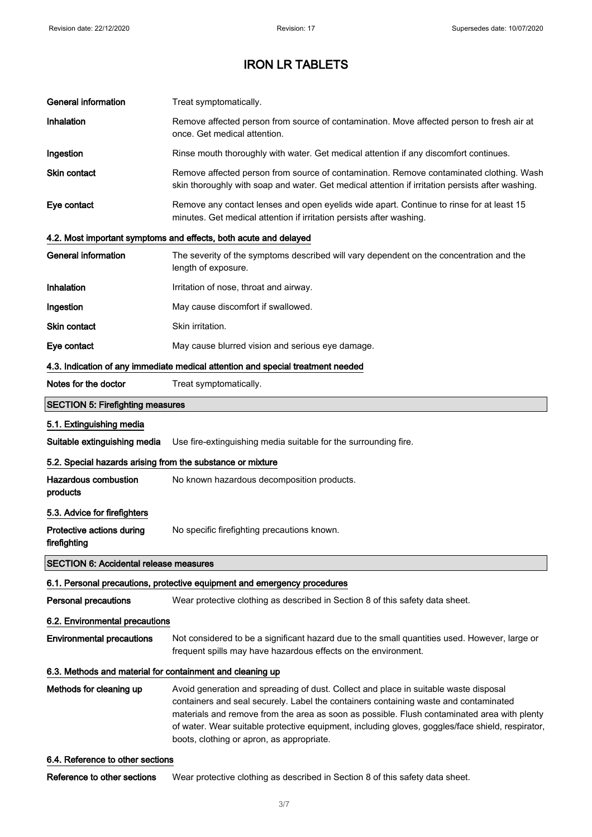| <b>General information</b>                                                      | Treat symptomatically.                                                                                                                                                                                                                                                                                                                                                                                                       |  |
|---------------------------------------------------------------------------------|------------------------------------------------------------------------------------------------------------------------------------------------------------------------------------------------------------------------------------------------------------------------------------------------------------------------------------------------------------------------------------------------------------------------------|--|
| Inhalation                                                                      | Remove affected person from source of contamination. Move affected person to fresh air at<br>once. Get medical attention.                                                                                                                                                                                                                                                                                                    |  |
| Ingestion                                                                       | Rinse mouth thoroughly with water. Get medical attention if any discomfort continues.                                                                                                                                                                                                                                                                                                                                        |  |
| Skin contact                                                                    | Remove affected person from source of contamination. Remove contaminated clothing. Wash<br>skin thoroughly with soap and water. Get medical attention if irritation persists after washing.                                                                                                                                                                                                                                  |  |
| Eye contact                                                                     | Remove any contact lenses and open eyelids wide apart. Continue to rinse for at least 15<br>minutes. Get medical attention if irritation persists after washing.                                                                                                                                                                                                                                                             |  |
|                                                                                 | 4.2. Most important symptoms and effects, both acute and delayed                                                                                                                                                                                                                                                                                                                                                             |  |
| <b>General information</b>                                                      | The severity of the symptoms described will vary dependent on the concentration and the<br>length of exposure.                                                                                                                                                                                                                                                                                                               |  |
| Inhalation                                                                      | Irritation of nose, throat and airway.                                                                                                                                                                                                                                                                                                                                                                                       |  |
| Ingestion                                                                       | May cause discomfort if swallowed.                                                                                                                                                                                                                                                                                                                                                                                           |  |
| <b>Skin contact</b>                                                             | Skin irritation.                                                                                                                                                                                                                                                                                                                                                                                                             |  |
| Eye contact                                                                     | May cause blurred vision and serious eye damage.                                                                                                                                                                                                                                                                                                                                                                             |  |
| 4.3. Indication of any immediate medical attention and special treatment needed |                                                                                                                                                                                                                                                                                                                                                                                                                              |  |
| Notes for the doctor                                                            | Treat symptomatically.                                                                                                                                                                                                                                                                                                                                                                                                       |  |
| <b>SECTION 5: Firefighting measures</b>                                         |                                                                                                                                                                                                                                                                                                                                                                                                                              |  |
| 5.1. Extinguishing media                                                        |                                                                                                                                                                                                                                                                                                                                                                                                                              |  |
| Suitable extinguishing media                                                    | Use fire-extinguishing media suitable for the surrounding fire.                                                                                                                                                                                                                                                                                                                                                              |  |
| 5.2. Special hazards arising from the substance or mixture                      |                                                                                                                                                                                                                                                                                                                                                                                                                              |  |
| <b>Hazardous combustion</b><br>products                                         | No known hazardous decomposition products.                                                                                                                                                                                                                                                                                                                                                                                   |  |
| 5.3. Advice for firefighters                                                    |                                                                                                                                                                                                                                                                                                                                                                                                                              |  |
| Protective actions during<br>firefighting                                       | No specific firefighting precautions known.                                                                                                                                                                                                                                                                                                                                                                                  |  |
| <b>SECTION 6: Accidental release measures</b>                                   |                                                                                                                                                                                                                                                                                                                                                                                                                              |  |
|                                                                                 | 6.1. Personal precautions, protective equipment and emergency procedures                                                                                                                                                                                                                                                                                                                                                     |  |
| Personal precautions                                                            | Wear protective clothing as described in Section 8 of this safety data sheet.                                                                                                                                                                                                                                                                                                                                                |  |
| 6.2. Environmental precautions                                                  |                                                                                                                                                                                                                                                                                                                                                                                                                              |  |
| <b>Environmental precautions</b>                                                | Not considered to be a significant hazard due to the small quantities used. However, large or<br>frequent spills may have hazardous effects on the environment.                                                                                                                                                                                                                                                              |  |
| 6.3. Methods and material for containment and cleaning up                       |                                                                                                                                                                                                                                                                                                                                                                                                                              |  |
| Methods for cleaning up                                                         | Avoid generation and spreading of dust. Collect and place in suitable waste disposal<br>containers and seal securely. Label the containers containing waste and contaminated<br>materials and remove from the area as soon as possible. Flush contaminated area with plenty<br>of water. Wear suitable protective equipment, including gloves, goggles/face shield, respirator,<br>boots, clothing or apron, as appropriate. |  |

### 6.4. Reference to other sections

Reference to other sections Wear protective clothing as described in Section 8 of this safety data sheet.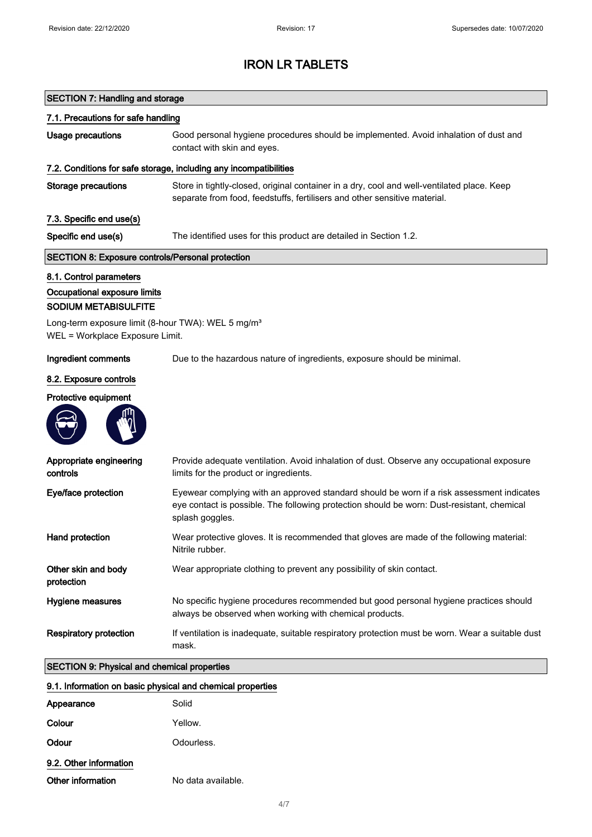## SECTION 7: Handling and storage

| 7.1. Precautions for safe handling                                                                                                                                                          |                                                                                                                                                                                                            |
|---------------------------------------------------------------------------------------------------------------------------------------------------------------------------------------------|------------------------------------------------------------------------------------------------------------------------------------------------------------------------------------------------------------|
| <b>Usage precautions</b>                                                                                                                                                                    | Good personal hygiene procedures should be implemented. Avoid inhalation of dust and<br>contact with skin and eyes.                                                                                        |
|                                                                                                                                                                                             | 7.2. Conditions for safe storage, including any incompatibilities                                                                                                                                          |
| <b>Storage precautions</b>                                                                                                                                                                  | Store in tightly-closed, original container in a dry, cool and well-ventilated place. Keep<br>separate from food, feedstuffs, fertilisers and other sensitive material.                                    |
| 7.3. Specific end use(s)                                                                                                                                                                    |                                                                                                                                                                                                            |
| Specific end use(s)                                                                                                                                                                         | The identified uses for this product are detailed in Section 1.2.                                                                                                                                          |
| <b>SECTION 8: Exposure controls/Personal protection</b>                                                                                                                                     |                                                                                                                                                                                                            |
| 8.1. Control parameters<br>Occupational exposure limits<br><b>SODIUM METABISULFITE</b><br>Long-term exposure limit (8-hour TWA): WEL 5 mg/m <sup>3</sup><br>WEL = Workplace Exposure Limit. |                                                                                                                                                                                                            |
| Ingredient comments                                                                                                                                                                         | Due to the hazardous nature of ingredients, exposure should be minimal.                                                                                                                                    |
| 8.2. Exposure controls                                                                                                                                                                      |                                                                                                                                                                                                            |
| Protective equipment                                                                                                                                                                        |                                                                                                                                                                                                            |
|                                                                                                                                                                                             |                                                                                                                                                                                                            |
| Appropriate engineering<br>controls                                                                                                                                                         | Provide adequate ventilation. Avoid inhalation of dust. Observe any occupational exposure<br>limits for the product or ingredients.                                                                        |
| Eye/face protection                                                                                                                                                                         | Eyewear complying with an approved standard should be worn if a risk assessment indicates<br>eye contact is possible. The following protection should be worn: Dust-resistant, chemical<br>splash goggles. |
| Hand protection                                                                                                                                                                             | Wear protective gloves. It is recommended that gloves are made of the following material:<br>Nitrile rubber.                                                                                               |
| Other skin and body<br>protection                                                                                                                                                           | Wear appropriate clothing to prevent any possibility of skin contact.                                                                                                                                      |
| Hygiene measures                                                                                                                                                                            | No specific hygiene procedures recommended but good personal hygiene practices should<br>always be observed when working with chemical products.                                                           |
| <b>Respiratory protection</b>                                                                                                                                                               | If ventilation is inadequate, suitable respiratory protection must be worn. Wear a suitable dust<br>mask.                                                                                                  |
| <b>SECTION 9: Physical and chemical properties</b>                                                                                                                                          |                                                                                                                                                                                                            |
| 9.1. Information on basic physical and chemical properties                                                                                                                                  |                                                                                                                                                                                                            |
| Appearance                                                                                                                                                                                  | Solid                                                                                                                                                                                                      |
| Colour                                                                                                                                                                                      | Yellow.                                                                                                                                                                                                    |
| Odour                                                                                                                                                                                       | Odourless.                                                                                                                                                                                                 |

9.2. Other information Other information No data available.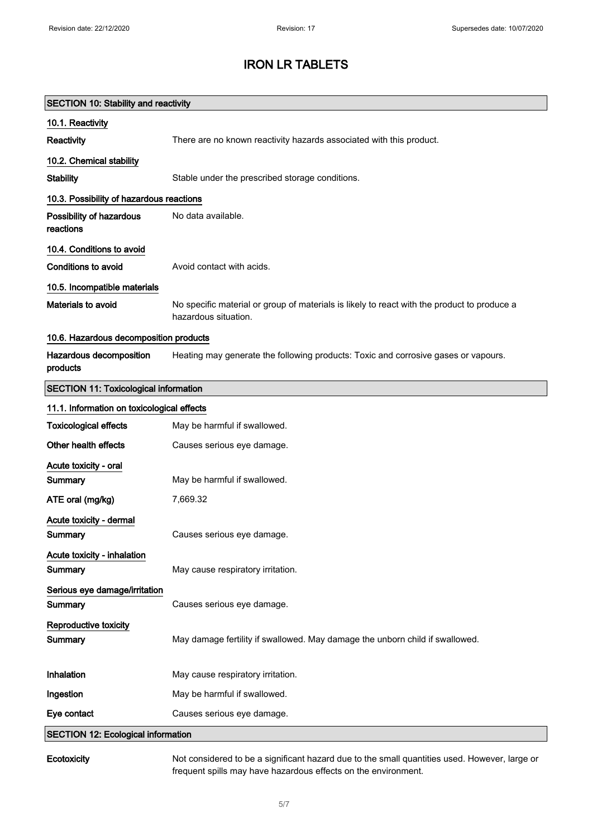| <b>SECTION 10: Stability and reactivity</b>  |                                                                                                                     |
|----------------------------------------------|---------------------------------------------------------------------------------------------------------------------|
| 10.1. Reactivity                             |                                                                                                                     |
| Reactivity                                   | There are no known reactivity hazards associated with this product.                                                 |
| 10.2. Chemical stability                     |                                                                                                                     |
| <b>Stability</b>                             | Stable under the prescribed storage conditions.                                                                     |
| 10.3. Possibility of hazardous reactions     |                                                                                                                     |
| Possibility of hazardous<br>reactions        | No data available.                                                                                                  |
| 10.4. Conditions to avoid                    |                                                                                                                     |
| <b>Conditions to avoid</b>                   | Avoid contact with acids.                                                                                           |
| 10.5. Incompatible materials                 |                                                                                                                     |
| Materials to avoid                           | No specific material or group of materials is likely to react with the product to produce a<br>hazardous situation. |
| 10.6. Hazardous decomposition products       |                                                                                                                     |
| Hazardous decomposition<br>products          | Heating may generate the following products: Toxic and corrosive gases or vapours.                                  |
| <b>SECTION 11: Toxicological information</b> |                                                                                                                     |
| 11.1. Information on toxicological effects   |                                                                                                                     |
| <b>Toxicological effects</b>                 | May be harmful if swallowed.                                                                                        |
| Other health effects                         | Causes serious eye damage.                                                                                          |
| Acute toxicity - oral<br>Summary             | May be harmful if swallowed.                                                                                        |
| ATE oral (mg/kg)                             | 7,669.32                                                                                                            |
| Acute toxicity - dermal<br>Summary           | Causes serious eye damage.                                                                                          |
| Acute toxicity - inhalation<br>Summary       | May cause respiratory irritation.                                                                                   |
| Serious eye damage/irritation<br>Summary     | Causes serious eye damage.                                                                                          |
| Reproductive toxicity<br>Summary             | May damage fertility if swallowed. May damage the unborn child if swallowed.                                        |
| Inhalation                                   | May cause respiratory irritation.                                                                                   |
| Ingestion                                    | May be harmful if swallowed.                                                                                        |
| Eye contact                                  | Causes serious eye damage.                                                                                          |
| <b>SECTION 12: Ecological information</b>    |                                                                                                                     |
|                                              |                                                                                                                     |

Ecotoxicity Not considered to be a significant hazard due to the small quantities used. However, large or frequent spills may have hazardous effects on the environment.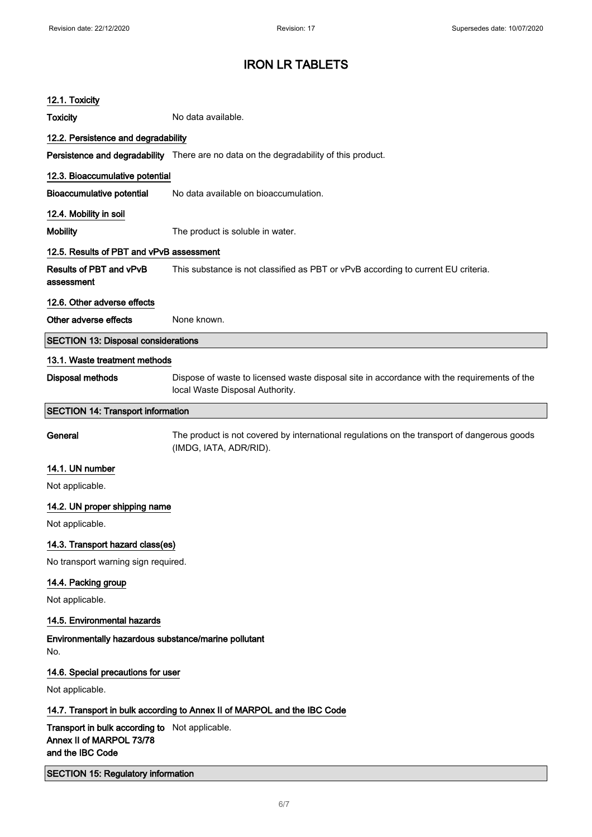| 12.1. Toxicity                                                                                 |                                                                                                                                |
|------------------------------------------------------------------------------------------------|--------------------------------------------------------------------------------------------------------------------------------|
| <b>Toxicity</b>                                                                                | No data available.                                                                                                             |
| 12.2. Persistence and degradability                                                            |                                                                                                                                |
|                                                                                                | Persistence and degradability There are no data on the degradability of this product.                                          |
| 12.3. Bioaccumulative potential                                                                |                                                                                                                                |
| <b>Bioaccumulative potential</b>                                                               | No data available on bioaccumulation.                                                                                          |
| 12.4. Mobility in soil                                                                         |                                                                                                                                |
| <b>Mobility</b>                                                                                | The product is soluble in water.                                                                                               |
| 12.5. Results of PBT and vPvB assessment                                                       |                                                                                                                                |
| <b>Results of PBT and vPvB</b><br>assessment                                                   | This substance is not classified as PBT or vPvB according to current EU criteria.                                              |
| 12.6. Other adverse effects                                                                    |                                                                                                                                |
| Other adverse effects                                                                          | None known.                                                                                                                    |
| <b>SECTION 13: Disposal considerations</b>                                                     |                                                                                                                                |
| 13.1. Waste treatment methods                                                                  |                                                                                                                                |
| <b>Disposal methods</b>                                                                        | Dispose of waste to licensed waste disposal site in accordance with the requirements of the<br>local Waste Disposal Authority. |
| <b>SECTION 14: Transport information</b>                                                       |                                                                                                                                |
| General                                                                                        | The product is not covered by international regulations on the transport of dangerous goods<br>(IMDG, IATA, ADR/RID).          |
| 14.1. UN number                                                                                |                                                                                                                                |
| Not applicable.                                                                                |                                                                                                                                |
| 14.2. UN proper shipping name                                                                  |                                                                                                                                |
| Not applicable.                                                                                |                                                                                                                                |
| 14.3. Transport hazard class(es)                                                               |                                                                                                                                |
| No transport warning sign required.                                                            |                                                                                                                                |
| 14.4. Packing group                                                                            |                                                                                                                                |
| Not applicable.                                                                                |                                                                                                                                |
| 14.5. Environmental hazards                                                                    |                                                                                                                                |
| Environmentally hazardous substance/marine pollutant<br>No.                                    |                                                                                                                                |
| 14.6. Special precautions for user                                                             |                                                                                                                                |
| Not applicable.                                                                                |                                                                                                                                |
| 14.7. Transport in bulk according to Annex II of MARPOL and the IBC Code                       |                                                                                                                                |
| Transport in bulk according to Not applicable.<br>Annex II of MARPOL 73/78<br>and the IBC Code |                                                                                                                                |
| <b>SECTION 15: Regulatory information</b>                                                      |                                                                                                                                |
|                                                                                                |                                                                                                                                |